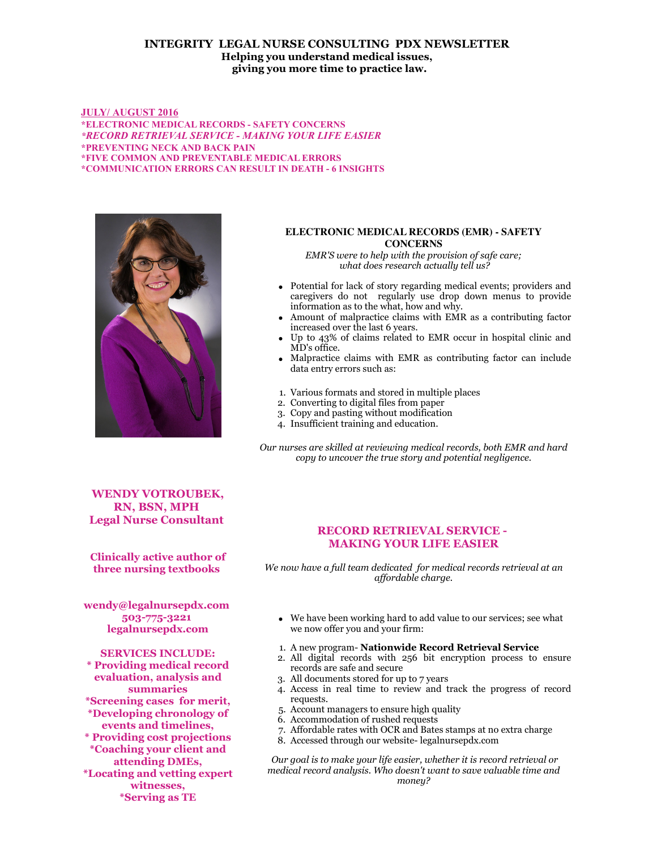## **INTEGRITY LEGAL NURSE CONSULTING PDX NEWSLETTER Helping you understand medical issues, giving you more time to practice law.**

### **JULY/ AUGUST 2016 \*ELECTRONIC MEDICAL RECORDS - SAFETY CONCERNS** *\*RECORD RETRIEVAL SERVICE - MAKING YOUR LIFE EASIER* **\*PREVENTING NECK AND BACK PAIN \*FIVE COMMON AND PREVENTABLE MEDICAL ERRORS \*COMMUNICATION ERRORS CAN RESULT IN DEATH - 6 INSIGHTS**



#### **ELECTRONIC MEDICAL RECORDS (EMR) - SAFETY CONCERNS**

*EMR'S were to help with the provision of safe care; what does research actually tell us?*

- Potential for lack of story regarding medical events; providers and caregivers do not regularly use drop down menus to provide information as to the what, how and why.
- Amount of malpractice claims with EMR as a contributing factor increased over the last 6 years.
- Up to 43% of claims related to EMR occur in hospital clinic and MD's office.
- Malpractice claims with EMR as contributing factor can include data entry errors such as:
- 1. Various formats and stored in multiple places
- 2. Converting to digital files from paper
- 3. Copy and pasting without modification
- 4. Insufficient training and education.

*Our nurses are skilled at reviewing medical records, both EMR and hard copy to uncover the true story and potential negligence.*

**WENDY VOTROUBEK, RN, BSN, MPH Legal Nurse Consultant** 

**Clinically active author of three nursing textbooks** 

**wendy@legalnursepdx.com 503-775-3221 legalnursepdx.com**

**SERVICES INCLUDE: \* Providing medical record evaluation, analysis and summaries \*Screening cases for merit, \*Developing chronology of events and timelines, \* Providing cost projections \*Coaching your client and attending DMEs, \*Locating and vetting expert witnesses, \*Serving as TE**

## **RECORD RETRIEVAL SERVICE - MAKING YOUR LIFE EASIER**

*We now have a full team dedicated for medical records retrieval at an affordable charge.*

- We have been working hard to add value to our services; see what we now offer you and your firm:
- 1. A new program- **Nationwide Record Retrieval Service**
- 2. All digital records with 256 bit encryption process to ensure records are safe and secure
- 3. All documents stored for up to 7 years
- 4. Access in real time to review and track the progress of record requests.
- 5. Account managers to ensure high quality
- 6. Accommodation of rushed requests
- 7. Affordable rates with OCR and Bates stamps at no extra charge
- 8. Accessed through our website- legalnursepdx.com

 *Our goal is to make your life easier, whether it is record retrieval or medical record analysis. Who doesn't want to save valuable time and money?*